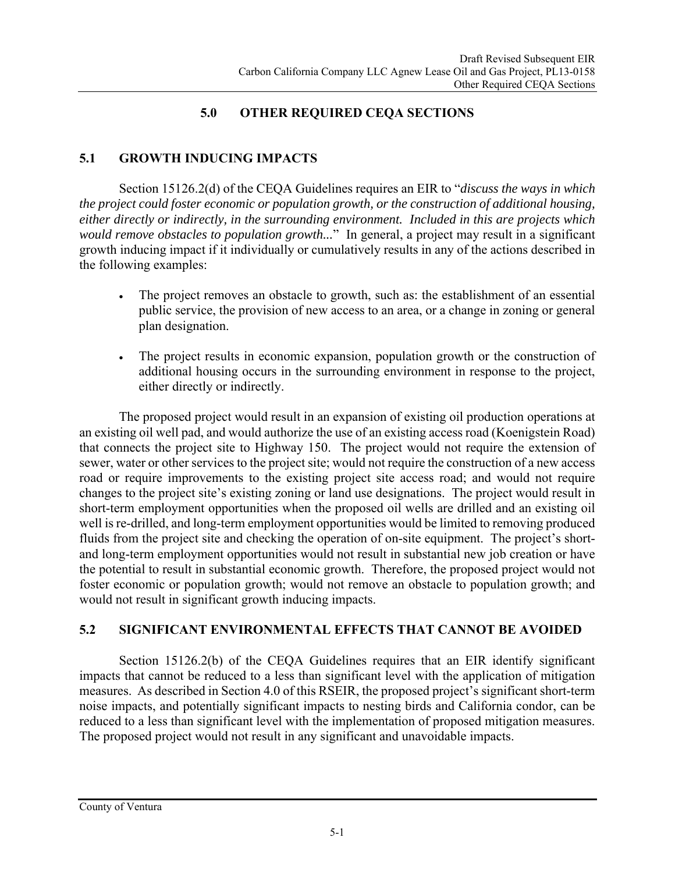## **5.0 OTHER REQUIRED CEQA SECTIONS**

## **5.1 GROWTH INDUCING IMPACTS**

Section 15126.2(d) of the CEQA Guidelines requires an EIR to "*discuss the ways in which the project could foster economic or population growth, or the construction of additional housing, either directly or indirectly, in the surrounding environment. Included in this are projects which would remove obstacles to population growth...*" In general, a project may result in a significant growth inducing impact if it individually or cumulatively results in any of the actions described in the following examples:

- The project removes an obstacle to growth, such as: the establishment of an essential public service, the provision of new access to an area, or a change in zoning or general plan designation.
- The project results in economic expansion, population growth or the construction of additional housing occurs in the surrounding environment in response to the project, either directly or indirectly.

The proposed project would result in an expansion of existing oil production operations at an existing oil well pad, and would authorize the use of an existing access road (Koenigstein Road) that connects the project site to Highway 150. The project would not require the extension of sewer, water or other services to the project site; would not require the construction of a new access road or require improvements to the existing project site access road; and would not require changes to the project site's existing zoning or land use designations. The project would result in short-term employment opportunities when the proposed oil wells are drilled and an existing oil well is re-drilled, and long-term employment opportunities would be limited to removing produced fluids from the project site and checking the operation of on-site equipment. The project's shortand long-term employment opportunities would not result in substantial new job creation or have the potential to result in substantial economic growth. Therefore, the proposed project would not foster economic or population growth; would not remove an obstacle to population growth; and would not result in significant growth inducing impacts.

## **5.2 SIGNIFICANT ENVIRONMENTAL EFFECTS THAT CANNOT BE AVOIDED**

Section 15126.2(b) of the CEQA Guidelines requires that an EIR identify significant impacts that cannot be reduced to a less than significant level with the application of mitigation measures. As described in Section 4.0 of this RSEIR, the proposed project's significant short-term noise impacts, and potentially significant impacts to nesting birds and California condor, can be reduced to a less than significant level with the implementation of proposed mitigation measures. The proposed project would not result in any significant and unavoidable impacts.